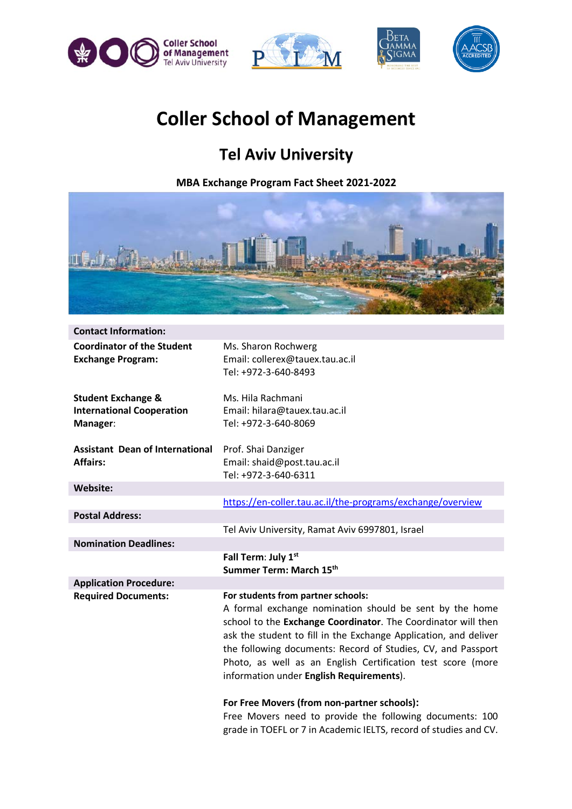





## **Coller School of Management**

## **Tel Aviv University**

**MBA Exchange Program Fact Sheet 2021-2022**



| <b>Contact Information:</b>                                                   |                                                                                                                                                                                                                                                                                                                                                                                                               |
|-------------------------------------------------------------------------------|---------------------------------------------------------------------------------------------------------------------------------------------------------------------------------------------------------------------------------------------------------------------------------------------------------------------------------------------------------------------------------------------------------------|
| <b>Coordinator of the Student</b><br><b>Exchange Program:</b>                 | Ms. Sharon Rochwerg<br>Email: collerex@tauex.tau.ac.il<br>Tel: +972-3-640-8493                                                                                                                                                                                                                                                                                                                                |
| <b>Student Exchange &amp;</b><br><b>International Cooperation</b><br>Manager: | Ms. Hila Rachmani<br>Email: hilara@tauex.tau.ac.il<br>Tel: +972-3-640-8069                                                                                                                                                                                                                                                                                                                                    |
| <b>Assistant Dean of International</b><br><b>Affairs:</b>                     | Prof. Shai Danziger<br>Email: shaid@post.tau.ac.il<br>Tel: +972-3-640-6311                                                                                                                                                                                                                                                                                                                                    |
| <b>Website:</b>                                                               |                                                                                                                                                                                                                                                                                                                                                                                                               |
|                                                                               | https://en-coller.tau.ac.il/the-programs/exchange/overview                                                                                                                                                                                                                                                                                                                                                    |
| <b>Postal Address:</b>                                                        |                                                                                                                                                                                                                                                                                                                                                                                                               |
|                                                                               | Tel Aviv University, Ramat Aviv 6997801, Israel                                                                                                                                                                                                                                                                                                                                                               |
| <b>Nomination Deadlines:</b>                                                  |                                                                                                                                                                                                                                                                                                                                                                                                               |
|                                                                               | Fall Term: July 1st<br>Summer Term: March 15th                                                                                                                                                                                                                                                                                                                                                                |
| <b>Application Procedure:</b>                                                 |                                                                                                                                                                                                                                                                                                                                                                                                               |
| <b>Required Documents:</b>                                                    | For students from partner schools:<br>A formal exchange nomination should be sent by the home<br>school to the Exchange Coordinator. The Coordinator will then<br>ask the student to fill in the Exchange Application, and deliver<br>the following documents: Record of Studies, CV, and Passport<br>Photo, as well as an English Certification test score (more<br>information under English Requirements). |
|                                                                               | For Free Movers (from non-partner schools):                                                                                                                                                                                                                                                                                                                                                                   |

Free Movers need to provide the following documents: 100 grade in TOEFL or 7 in Academic IELTS, record of studies and CV.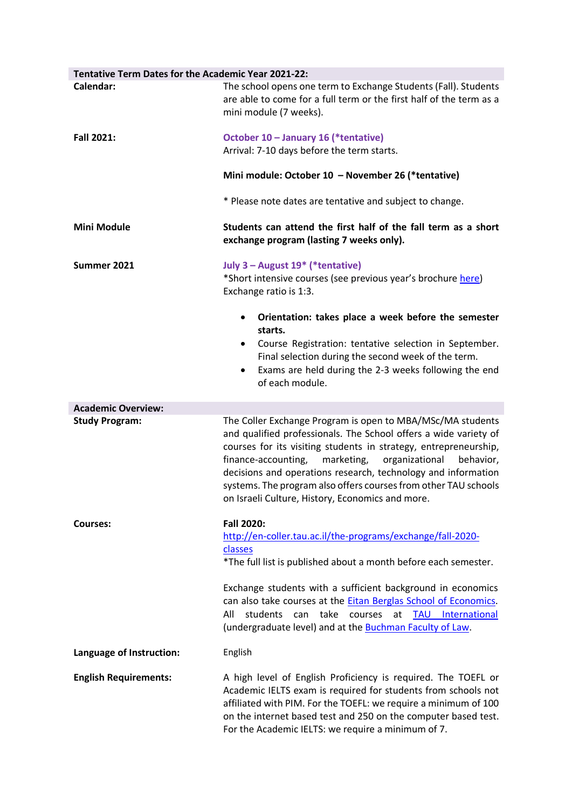| Tentative Term Dates for the Academic Year 2021-22: |                                                                                                                                                                                                                                                                                                                                                                                                                                                                |
|-----------------------------------------------------|----------------------------------------------------------------------------------------------------------------------------------------------------------------------------------------------------------------------------------------------------------------------------------------------------------------------------------------------------------------------------------------------------------------------------------------------------------------|
| Calendar:                                           | The school opens one term to Exchange Students (Fall). Students<br>are able to come for a full term or the first half of the term as a<br>mini module (7 weeks).                                                                                                                                                                                                                                                                                               |
| Fall 2021:                                          | October 10 - January 16 (*tentative)                                                                                                                                                                                                                                                                                                                                                                                                                           |
|                                                     | Arrival: 7-10 days before the term starts.                                                                                                                                                                                                                                                                                                                                                                                                                     |
|                                                     | Mini module: October 10 - November 26 (*tentative)                                                                                                                                                                                                                                                                                                                                                                                                             |
|                                                     | * Please note dates are tentative and subject to change.                                                                                                                                                                                                                                                                                                                                                                                                       |
| Mini Module                                         | Students can attend the first half of the fall term as a short<br>exchange program (lasting 7 weeks only).                                                                                                                                                                                                                                                                                                                                                     |
| Summer 2021                                         | July 3 - August 19* (*tentative)                                                                                                                                                                                                                                                                                                                                                                                                                               |
|                                                     | *Short intensive courses (see previous year's brochure here)<br>Exchange ratio is 1:3.                                                                                                                                                                                                                                                                                                                                                                         |
|                                                     | Orientation: takes place a week before the semester<br>$\bullet$<br>starts.                                                                                                                                                                                                                                                                                                                                                                                    |
|                                                     | Course Registration: tentative selection in September.<br>٠<br>Final selection during the second week of the term.<br>Exams are held during the 2-3 weeks following the end<br>٠<br>of each module.                                                                                                                                                                                                                                                            |
| <b>Academic Overview:</b>                           |                                                                                                                                                                                                                                                                                                                                                                                                                                                                |
| <b>Study Program:</b>                               | The Coller Exchange Program is open to MBA/MSc/MA students<br>and qualified professionals. The School offers a wide variety of<br>courses for its visiting students in strategy, entrepreneurship,<br>marketing,<br>organizational<br>finance-accounting,<br>behavior,<br>decisions and operations research, technology and information<br>systems. The program also offers courses from other TAU schools<br>on Israeli Culture, History, Economics and more. |
| <b>Courses:</b>                                     | <b>Fall 2020:</b>                                                                                                                                                                                                                                                                                                                                                                                                                                              |
|                                                     | http://en-coller.tau.ac.il/the-programs/exchange/fall-2020-                                                                                                                                                                                                                                                                                                                                                                                                    |
|                                                     | classes<br>*The full list is published about a month before each semester.                                                                                                                                                                                                                                                                                                                                                                                     |
|                                                     | Exchange students with a sufficient background in economics<br>can also take courses at the Eitan Berglas School of Economics.<br>All<br>students can take courses<br>at<br><b>TAU</b> International<br>(undergraduate level) and at the <b>Buchman Faculty of Law</b> .                                                                                                                                                                                       |
| Language of Instruction:                            | English                                                                                                                                                                                                                                                                                                                                                                                                                                                        |
| <b>English Requirements:</b>                        | A high level of English Proficiency is required. The TOEFL or<br>Academic IELTS exam is required for students from schools not<br>affiliated with PIM. For the TOEFL: we require a minimum of 100<br>on the internet based test and 250 on the computer based test.<br>For the Academic IELTS: we require a minimum of 7.                                                                                                                                      |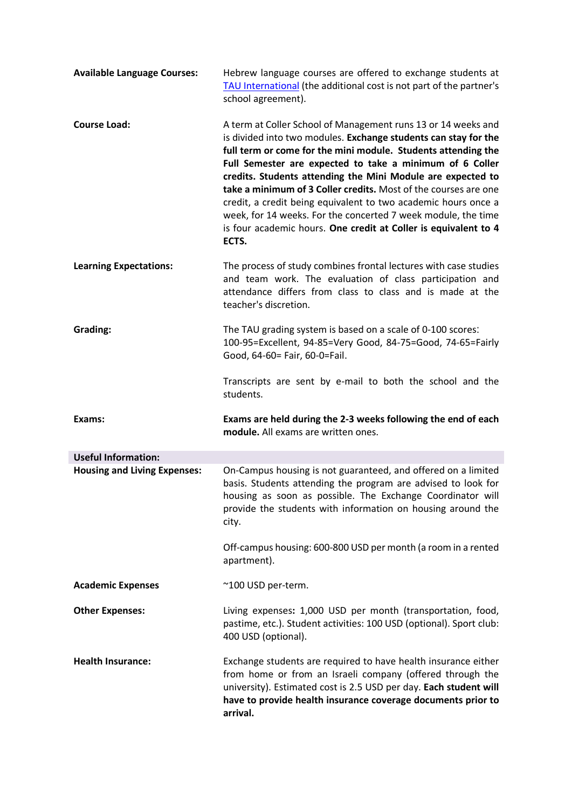| <b>Available Language Courses:</b>  | Hebrew language courses are offered to exchange students at<br>TAU International (the additional cost is not part of the partner's<br>school agreement).                                                                                                                                                                                                                                                                                                                                                                                                                                                       |
|-------------------------------------|----------------------------------------------------------------------------------------------------------------------------------------------------------------------------------------------------------------------------------------------------------------------------------------------------------------------------------------------------------------------------------------------------------------------------------------------------------------------------------------------------------------------------------------------------------------------------------------------------------------|
| <b>Course Load:</b>                 | A term at Coller School of Management runs 13 or 14 weeks and<br>is divided into two modules. Exchange students can stay for the<br>full term or come for the mini module. Students attending the<br>Full Semester are expected to take a minimum of 6 Coller<br>credits. Students attending the Mini Module are expected to<br>take a minimum of 3 Coller credits. Most of the courses are one<br>credit, a credit being equivalent to two academic hours once a<br>week, for 14 weeks. For the concerted 7 week module, the time<br>is four academic hours. One credit at Coller is equivalent to 4<br>ECTS. |
| <b>Learning Expectations:</b>       | The process of study combines frontal lectures with case studies<br>and team work. The evaluation of class participation and<br>attendance differs from class to class and is made at the<br>teacher's discretion.                                                                                                                                                                                                                                                                                                                                                                                             |
| Grading:                            | The TAU grading system is based on a scale of 0-100 scores:<br>100-95=Excellent, 94-85=Very Good, 84-75=Good, 74-65=Fairly<br>Good, 64-60= Fair, 60-0=Fail.                                                                                                                                                                                                                                                                                                                                                                                                                                                    |
|                                     | Transcripts are sent by e-mail to both the school and the<br>students.                                                                                                                                                                                                                                                                                                                                                                                                                                                                                                                                         |
| Exams:                              | Exams are held during the 2-3 weeks following the end of each<br>module. All exams are written ones.                                                                                                                                                                                                                                                                                                                                                                                                                                                                                                           |
| <b>Useful Information:</b>          |                                                                                                                                                                                                                                                                                                                                                                                                                                                                                                                                                                                                                |
| <b>Housing and Living Expenses:</b> | On-Campus housing is not guaranteed, and offered on a limited<br>basis. Students attending the program are advised to look for<br>housing as soon as possible. The Exchange Coordinator will<br>provide the students with information on housing around the<br>city.<br>Off-campus housing: 600-800 USD per month (a room in a rented<br>apartment).                                                                                                                                                                                                                                                           |
| <b>Academic Expenses</b>            | ~100 USD per-term.                                                                                                                                                                                                                                                                                                                                                                                                                                                                                                                                                                                             |
| <b>Other Expenses:</b>              | Living expenses: 1,000 USD per month (transportation, food,<br>pastime, etc.). Student activities: 100 USD (optional). Sport club:<br>400 USD (optional).                                                                                                                                                                                                                                                                                                                                                                                                                                                      |
| <b>Health Insurance:</b>            | Exchange students are required to have health insurance either<br>from home or from an Israeli company (offered through the<br>university). Estimated cost is 2.5 USD per day. Each student will<br>have to provide health insurance coverage documents prior to<br>arrival.                                                                                                                                                                                                                                                                                                                                   |